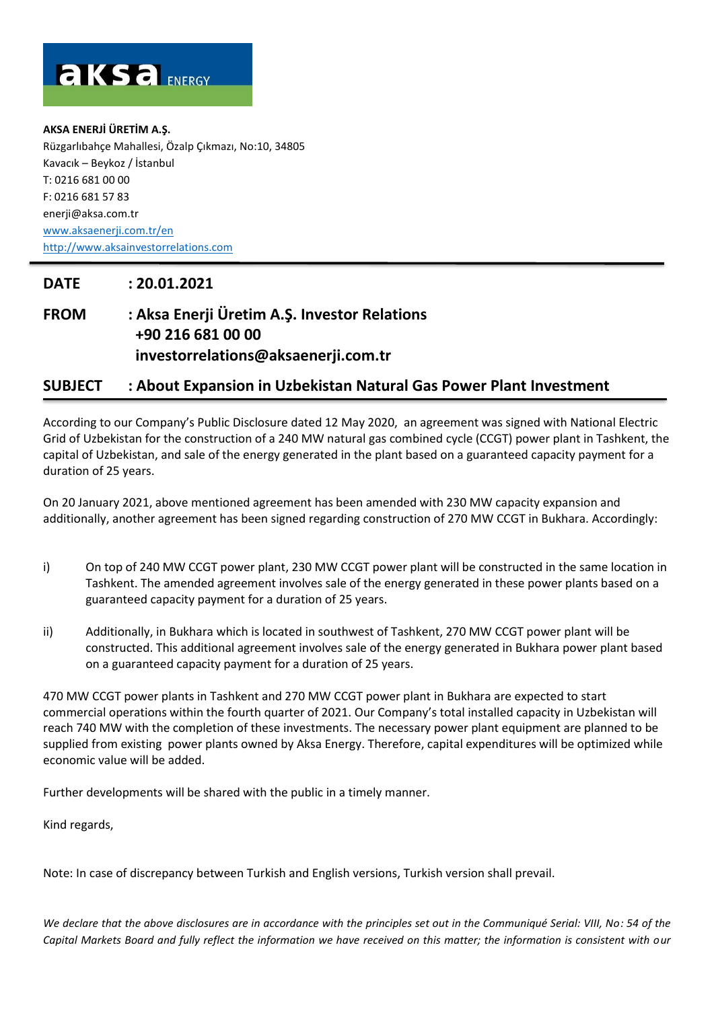

**AKSA ENERJİ ÜRETİM A.Ş.**  Rüzgarlıbahçe Mahallesi, Özalp Çıkmazı, No:10, 34805 Kavacık – Beykoz / İstanbul T: 0216 681 00 00 F: 0216 681 57 83 [enerji@aksa.com.tr](mailto:enerji@aksa.com.tr) [www.aksaenerji.com.tr/en](http://www.aksaenerji.com.tr/en) [http://www.aksainvestorrelations.com](http://www.aksainvestorrelations.com/)

## **DATE : 20.01.2021**

## **FROM : Aksa Enerji Üretim A.Ş. Investor Relations +90 216 681 00 00 investorrelations@aksaenerji.com.tr**

## **SUBJECT : About Expansion in Uzbekistan Natural Gas Power Plant Investment**

According to our Company's Public Disclosure dated 12 May 2020, an agreement was signed with National Electric Grid of Uzbekistan for the construction of a 240 MW natural gas combined cycle (CCGT) power plant in Tashkent, the capital of Uzbekistan, and sale of the energy generated in the plant based on a guaranteed capacity payment for a duration of 25 years.

On 20 January 2021, above mentioned agreement has been amended with 230 MW capacity expansion and additionally, another agreement has been signed regarding construction of 270 MW CCGT in Bukhara. Accordingly:

- i) On top of 240 MW CCGT power plant, 230 MW CCGT power plant will be constructed in the same location in Tashkent. The amended agreement involves sale of the energy generated in these power plants based on a guaranteed capacity payment for a duration of 25 years.
- ii) Additionally, in Bukhara which is located in southwest of Tashkent, 270 MW CCGT power plant will be constructed. This additional agreement involves sale of the energy generated in Bukhara power plant based on a guaranteed capacity payment for a duration of 25 years.

470 MW CCGT power plants in Tashkent and 270 MW CCGT power plant in Bukhara are expected to start commercial operations within the fourth quarter of 2021. Our Company's total installed capacity in Uzbekistan will reach 740 MW with the completion of these investments. The necessary power plant equipment are planned to be supplied from existing power plants owned by Aksa Energy. Therefore, capital expenditures will be optimized while economic value will be added.

Further developments will be shared with the public in a timely manner.

Kind regards,

Note: In case of discrepancy between Turkish and English versions, Turkish version shall prevail.

*We declare that the above disclosures are in accordance with the principles set out in the Communiqué Serial: VIII, No: 54 of the Capital Markets Board and fully reflect the information we have received on this matter; the information is consistent with our*